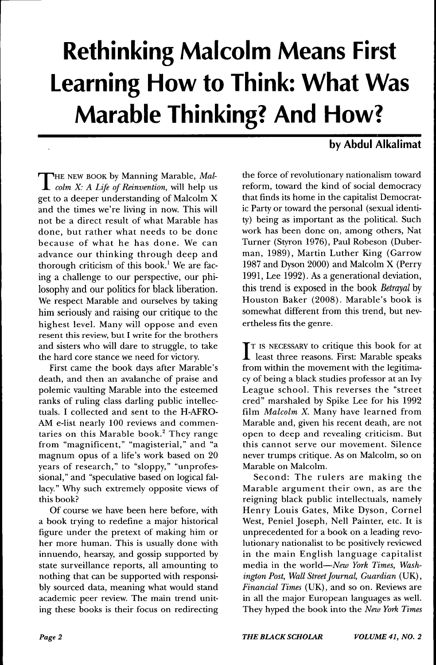# **Rethinking Malcolm Means First Learning How to Think: What Was Marable Thinking? And How?**

## by Abdul Alkalimat

THE NEW BOOK by Manning Marable, Malcolm X: A Life of Reinvention, will help us HE NEW BOOK by Manning Marable, *Mal*get to a deeper understanding of Malcolm X and the times we're living in now. This will not be a direct result of what Marable has done, but rather what needs to be done because of what he has done. We can advance our thinking through deep and thorough criticism of this book.<sup>1</sup> We are facing a challenge to our perspective, our philosophy and our politics for black liberation. We respect Marable and ourselves by taking him seriously and raising our critique to the him scribusly and raising but critique to the mignest fever. Many will oppose and even resent this review, but I write for the brothers and sisters who will dare to struggle, to

First came the book days after Marable's death, and then an avalanche of praise and polemic vaulting Marable into the esteemed ranks of ruling class darling public intellectuals. I collected and sent to the H-AFRO-AM e-list nearly 100 reviews and commentaries on this Marable book. $2$  They range from "magnificent," "magisterial," and "a magnum opus of a life's work based on 20 years of research," to "sloppy," "unprofessional," and "speculative based on logical fallacy." Why such extremely opposite views of this book?

Of course we have been here before, with a book trying to redefine a major historical figure under the pretext of making him or her more human. This is usually done with innuendo, hearsay, and gossip supported by state surveillance reports, all amounting to nothing that can be supported with responsibly sourced data, meaning what would stand academic peer review. The main trend uniting these books is their focus on redirecting the force of revolutionary nationalism toward reform, toward the kind of social democracy that finds its home in the capitalist Democratic Party or toward the personal (sexual identity) being as important as the political. Such work has been done on, among others, Nat Turner (Styron 1976), Paul Robeson (Duberman, 1989), Martin Luther King (Garrow 1987 and Dyson 2000) and Malcolm X (Perry 1991, Lee 1992). As a generational deviation, this trend is exposed in the hook *Betrayal* hy Houston Baker (2008). Marable's book is somewhat different from this trend, but nevertheless fits the genre.

IT IS NECESSARY to critique this book for at least three reasons. First: Marable speaks T IS NECESSARY to critique this book for at from within the movement with the legitimacy of being a black studies professor at an Ivy League school. This reverses the "street cred" marshaled by Spike Lee for his 1992 film *Malcolm X.* Many have learned from Marable and, given his recent death, are not open to deep and revealing criticism. But this cannot serve our movement. Silence never trumps critique. As on Malcolm, so on Marable on Malcolm.

Second: The rulers are making the Marable argument their own, as are the reigning black public intellectuals, namely Henry Louis Gates, Mike Dyson, Cornel West, Peniel Joseph, Nell Painter, etc. It is unprecedented for a book on a leading revolutionary nationalist to be positively reviewed in the main English language capitalist media in the world—*New York Times, Washington Post, Wall Street Journal, Guardian* (UK), *Financial Times* (UK), and so on. Reviews are in all the major European languages as well. They hyped the book into the *New York Times*

*Page 2 THE BLACK SCHOLAR VOLUME 41, NO. 2*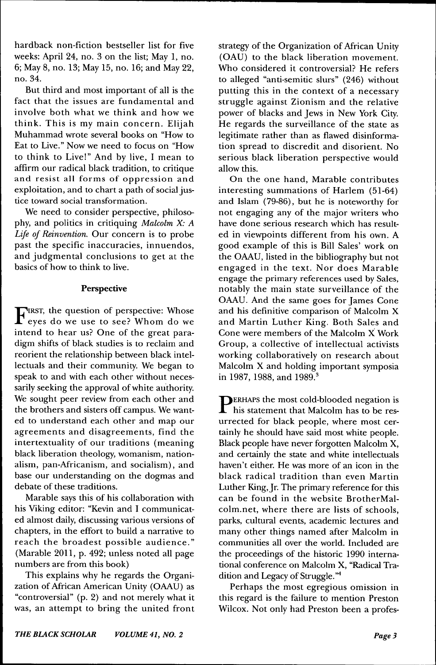hardback non-fiction bestseller list for five weeks: April 24, no. 3 on the list; May 1, no. 6; May 8, no. 13; May 15, no. 16; and May 22, no. 34.

But third and most important of all is the fact that the issues are fundamental and involve both what we think and how we think. This is my main concern. Elijah Muhammad wrote several books on "How to Eat to Live." Now we need to focus on "How to think to Live!" And by live, I mean to affirm our radical black tradition, to critique and resist all forms of oppression and exploitation, and to chart a path of social justice toward social transformation.

We need to consider perspective, philosophy, and politics in critiquing *Malcolm X: A Life of Reinvention.* Our concern is to probe past the specific inaccuracies, innuendos, and judgmental conclusions to get at the basics of how to think to live.

### **Perspective**

FIRST, the question of perspective: Whose<br>eves do we use to see? Whom do we eyes do we use to see? Whom do we intend to hear us? One of the great paradigm shifts of black studies is to reclaim and reorient the relationship between black intellectuals and their community. We began to speak to and with each other without necessarily seeking the approval of white authority. We sought peer review from each other and the brothers and sisters off campus. We wanted to understand each other and map our agreements and disagreements, find the intertextuality of our traditions (meaning black liberation theology, womanism, nationalism, pan-Africanism, and socialism), and base our understanding on the dogmas and debate of these traditions.

Marable says this of his collaboration with his Viking editor: "Kevin and I communicated almost daily, discussing various versions of chapters, in the effort to build a narrative to reach the broadest possible audience." (Marable 2011, p. 492; unless noted all page numbers are from this book)

This explains why he regards the Organization of African American Unity (OAAU) as "controversial" (p. 2) and not merely what it was, an attempt to bring the united front strategy of the Organization of African Unity (OAU) to the black liberation movement. Who considered it controversial? He refers to alleged "anti-semitic slurs" (246) without putting this in the context of a necessary struggle against Zionism and the relative power of blacks and Jews in New York City. He regards the surveillance of the state as legitimate rather than as flawed disinformation spread to discredit and disorient. No serious black liberation perspective would allow this.

On the one hand, Marable contributes interesting summations of Harlem (51-64) and Islam (79-86), but he is noteworthy for not engaging any of the major writers who have done serious research which has resulted in viewpoints different from his own. A good example of this is Bill Sales' work on the OAAU, listed in the bibliography but not engaged in the text. Nor does Marable engage the primary references used by Sales, notably the main state surveillance of the OAAU. And the same goes for James Cone and his definitive comparison of Malcolm X and Martin Luther King. Both Sales and Cone were members of the Malcolm X Work Group, a collective of intellectual activists working collaboratively on research about Malcolm X and holding important symposia in 1987, 1988, and 1989.<sup>3</sup>

PERHAPS the most cold-blooded negation is<br>his statement that Malcolm has to be res-ERHAPS the most cold-blooded negation is urrected for black people, where most certainly he should have said most white people. Black people have never forgotten Malcolm X, and certainly the state and white intellectuals haven't either. He was more of an icon in the black radical tradition than even Martin Luther King, Jr. The primary reference for this can be found in the website BrotherMalcolm.net, where there are lists of schools, parks, cultural events, academic lectures and many other things named after Malcolm in communities all over the world. Included are the proceedings of the historic 1990 international conference on Malcolm X, "Radical Tradition and Legacy of Struggle."4

Perhaps the most egregious omission in this regard is the failure to mention Preston Wilcox. Not only had Preston been a profes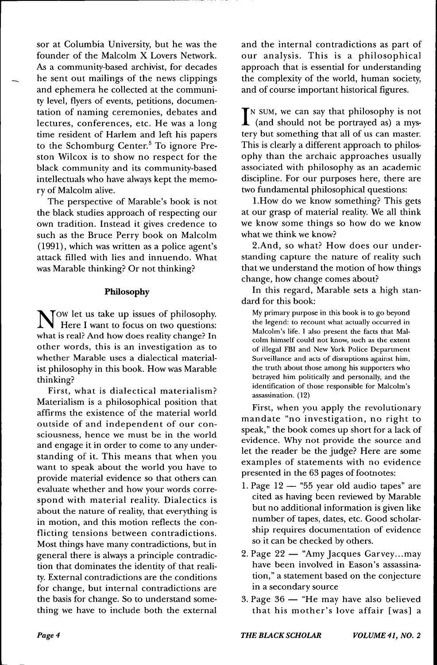sor at Columbia University, but he was the founder of the Malcolm X Lovers Network. As a community-based archivist, for decades he sent out mailings of the news clippings and ephemera he collected at the community level, fiyers of events, petitions, documentation of naming ceremonies, debates and lectures, conferences, etc. He was a long time resident of Harlem and left his papers to the Schomburg Center.<sup>5</sup> To ignore Preston Wilcox is to show no respect for the black community and its community-based intellectuals who have always kept the memory of Malcolm alive.

The perspective of Marable's book is not the black studies approach of respecting our own tradition. Instead it gives credence to such as the Bruce Perry book on Malcolm (1991), which was written as a police agent's attack filled with lies and innuendo. What was Marable thinking? Or not thinking?

### **Philosophy**

Now let us take up issues of philosophy.<br>Here I want to focus on two questions: Here I want to focus on two questions: what is real? And how does reality change? In other words, this is an investigation as to whether Marable uses a dialectical materialist philosophy in this book. How was Marable thinking?

First, what is dialectical materialism? Materialism is a philosophical position that affirms the existence of the material world outside of and independent of our consciousness, hence we must be in the world and engage it in order to come to any understanding of it. This means that when you want to speak about the world you have to provide material evidence so that others can evaluate whether and how your words correspond with material reality. Dialectics is about the nature of reality, that everything is in motion, and this motion refiects the conflicting tensions between contradictions. Most things have many contradictions, but in general there is always a principle contradiction that dominates the identity of that reality. External contradictions are the conditions for change, but internal contradictions are the basis for change. So to understand something we have to include both the external

and the internal contradictions as part of our analysis. This is a philosophical approach that is essential for understanding the complexity of the world, human society, and of course important historical figures.

IN SUM, we can say that philosophy is not<br>
(and should not be portrayed as) a mys-(and should not be portrayed as) a mystery but something that all of us can master. This is clearly a different approach to philosophy than the archaic approaches usually associated with philosophy as an academic discipline. For our purposes here, there are two fundamental philosophical questions:

l.How do we know something? This gets at our grasp of material reality. We all think we know some things so how do we know what we think we know?

2.And, so what? How does our understanding capture the nature of reality such that we understand the motion of how things change, how change comes about?

In this regard, Marable sets a high standard for this book:

My primary purpose in this book is to go beyond the legend; to recount what actually occurred in Malcolm's life. I also present the facts that Malcolm himself could not know, such as the extent of illegal EBI and New York Police Department Surveillance and acts of disruptions against him, the truth about those among his supporters who betrayed him politically and personally, and the identification of those responsible for Malcolm's assassination. (12)

First, when you apply the revolutionary mandate "no investigation, no right to speak," the book comes up short for a lack of evidence. Why not provide the source and let the reader be the judge? Here are some examples of statements with no evidence presented in the 63 pages of footnotes:

- 1. Page 12 "55 year old audio tapes" are cited as having been reviewed by Marable but no additional information is given like number of tapes, dates, etc. Good scholarship requires documentation of evidence so it can be checked by others.
- 2. Page 22 "Amy Jacques Garvey...may have been involved in Eason's assassination," a statement based on the conjecture in a secondary source
- 3. Page 36 "He may have also believed that his mother's love affair [was] a

*Page 4 THE BLACK SCHOLAR VOLUME 41, NO. 2*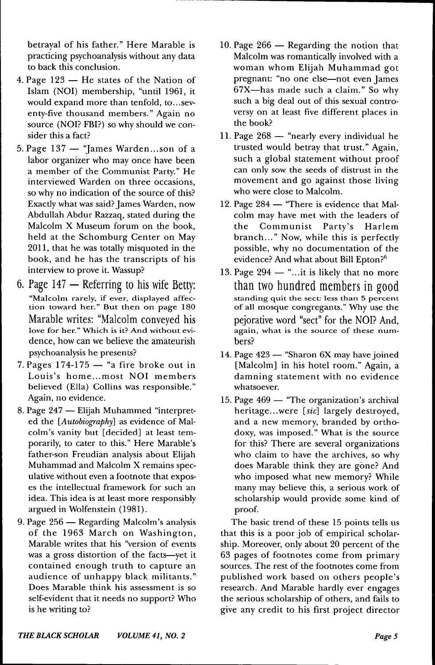betrayal of his father." Here Marable is practicing psychoanalysis without any data to back this conclusion.

- 4. Page 123 He states of the Nation of Islam (NOI) membership, "until 1961, it would expand more than tenfold, to...seventy-five thousand members." Again no source (NOI? FBI?) so why should we consider this a fact?
- 5. Page 137 "James Warden...son of a labor organizer who may once have been a member of the Communist Party." He interviewed Warden on three occasions, so why no indication of the source of this? Exactly what was said? James Warden, now Abdullah Abdur Razzaq, stated during the Malcolm X Museum forum on the book, held at the Schomburg Center on May 2011, that he was totally misquoted in the book, and he has the transcripts of his interview to prove it. Wassup?
- 6. Page 147 Referring to his wife Betty: "Malcolm rarely, if ever, displayed affection toward her." But then on page 180 Marable writes: "Malcolm conveyed his love for her." Which is it? And without evidence, how can we believe the amateurish psychoanalysis he presents?
- 7. Pages  $174-175$  "a fire broke out in Louis's home...most NOI members believed (Ella) Collins was responsible." Again, no evidence.
- 8. Page 247 Elijah Muhammed "interpreted the *[Autobiography]* as evidence of Malcolm's vanity but [decided] at least temporarily, to cater to this." Here Marable's father-son Freudian analysis about Elijah Muhammad and Malcolm X remains speculative without even a footnote that exposes the intellectual framework for such an idea. This idea is at least more responsibly argued in Wolfenstein (1981).
- 9. Page 256 Regarding Malcolm's analysis of the 1963 March on Washington, Marable writes that his "version of events was a gross distortion of the facts—yet it contained enough truth to capture an audience of unhappy black militants." Does Marable think his assessment is so self-evident that it needs no support? Who is he writing to?
- 10. Page 266 Regarding the notion that Malcolm was romantically involved with a woman whom Elijah Muhammad got pregnant: "no one else—not even James 67X—has made such a claim." So why such a big deal out of this sexual controversy on at least five different places in the book?
- 11. Page 268 "nearly every individual be trusted would betray that trust." Again, such a global statement without proof can only sow the seeds of distrust in the movement and go against those living who were close to Malcolm.
- 12. Page 284 "There is evidence that Malcolm may have met with the leaders of the Communist Party's Harlem branch..." Now, while this is perfectly possible, why no documentation of the evidence? And what about Bill Epton?^
- 13. Page  $294 -$  "...it is likely that no more than two hundred members in good standing quit the sect: less than 5 percent of all mosque congregants." Why use the pejorative word "sect" for the NOI? And, again, what is the source of these numbers?
- 14. Page 423 "Sharon 6X may have joined [Malcolm] in his hotel room." Again, a damning statement with no evidence whatsoever.
- 15. Page 469 "The organization's archival heritage...were *[sic]* largely destroyed, and a new memory, branded by orthodoxy, was imposed." What is the source for this? There are several organizations who claim to have the archives, so why does Marable think they are gone? And who imposed what new memory? While many may believe this, a serious work of scholarship would provide some kind of proof.

The basic trend of these 15 points tells us that this is a poor job of empirical scbolarship. Moreover, only about 20 percent of the 63 pages of footnotes come from primary sources. The rest of the footnotes come from published work based on others people's research. And Marable hardly ever engages the serious scholarship of others, and fails to give any credit to his first project director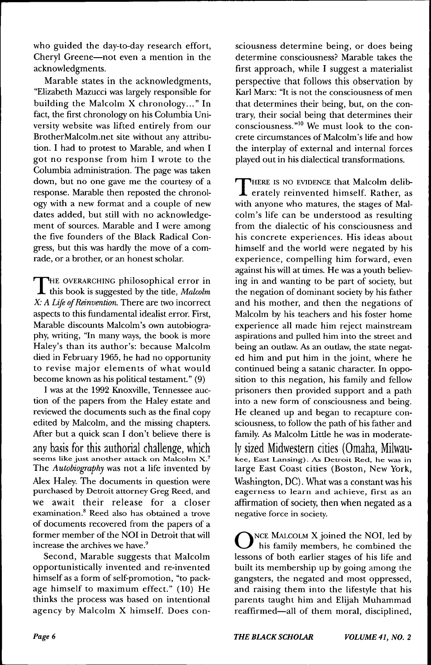who guided the day-to-day research effort, Cheryl Greene—not even a mention in the acknowledgments.

Marable states in the acknowledgments, "Elizabeth Mazucci was largely responsible for building the Malcolm X chronology..." In fact, the first chronology on his Columbia University website was lifted entirely from our BrotherMalcolm.net site without any attribution. I had to protest to Marable, and when I got no response from him I wrote to the Columbia administration. The page was taken down, but no one gave me the courtesy of a response. Marable then reposted the chronology with a new format and a couple of new dates added, but still with no acknowledgement of sources. Marable and I were among the five founders of the Black Radical Congress, but this was hardly the move of a comrade, or a brother, or an honest scholar.

THE OVERARCHING philosophical error in<br>this book is suggested by the title, *Malcolm*<br>*X: A Life of Reinvention*. There are two incorrect HE OVERARCHING philosophical error in this book is suggested by the title, *Malcolm* aspects to this fundamental idealist error. First, Marable discounts Malcolm's own autobiography, writing, "In many ways, the book is more Haley's than its author's: because Malcolm died in February 1965, he had no opportunity to revise major elements of what would become known as his political testament." (9)

I was at the 1992 Knoxville, Tennessee auction of the papers from the Haley estate and reviewed the documents such as the final copy edited by Malcolm, and the missing chapters. After but a quick scan I don't believe there is any basis for this authorial challenge, which seems like just another attack on Malcolm X.<sup>7</sup> The *Autobiography* was not a life invented by Alex Haley. The documents in question were purchased by Detroit attorney Greg Reed, and we await their release for a closer examination.<sup>8</sup> Reed also has obtained a trove of documents recovered from the papers of a former member of the NOI in Detroit that will increase the archives we have.<sup>9</sup>

Second, Marable suggests that Malcolm opportunistically invented and re-invented himself as a form of self-promotion, "to package himself to maximum effect." (10) He thinks the process was based on intentional agency by Malcolm X himself. Does consciousness determine being, or does being determine consciousness? Marable takes the first approach, while I suggest a materialist perspective that follows this observation by Karl Marx: "It is not the consciousness of men that determines their being, but, on the contrary, their social being that determines their consciousness." $10$  We must look to the concrete circumstances of Malcolm's life and how the interplay of external and internal forces played out in his dialectical transformations.

THERE IS NO EVIDENCE that Malcolm deliberately reinvented himself. Rather, as HERE IS NO EVIDENCE that Malcolm delibwith anyone who matures, the stages of Malcolm's life can be understood as resulting from the dialectic of his consciousness and his concrete experiences. His ideas about himself and the world were negated by his experience, compelling him forward, even against his will at times. He was a youth believing in and wanting to be part of society, but the negation of dominant society by his father and his mother, and then the negations of Malcolm by his teachers and his foster home experience all made him reject mainstream aspirations and pulled him into the street and being an oudaw. As an outlaw, the state negated him and put him in the joint, where he continued being a satanic character. In opposition to this negation, his family and fellow prisoners then provided support and a path into a new form of consciousness and being. He cleaned up and began to recapture consciousness, to follow the path of his father and family. As Malcolm Little he was in moderately sized Midwestern cities (Omaha, Milwaukee, East Lansing). As Detroit Red, he was in large East Coast cities (Boston, New York, Washington, DC). What was a constant was his eagerness to learn and achieve, first as an affirmation of society, then when negated as a negative force in society.

O NCE MALCOLM X joined the NOI, led by his family members, he combined the lessons of both earlier stages of his life and built its membership up by going among the gangsters, the negated and most oppressed, and raising them into the lifestyle that his parents taught him and Elijah Muhammad reaffirmed—all of them moral, disciplined.

*Page 6 THE BLACK SCHOLAR VOLUME 41, NO. 2*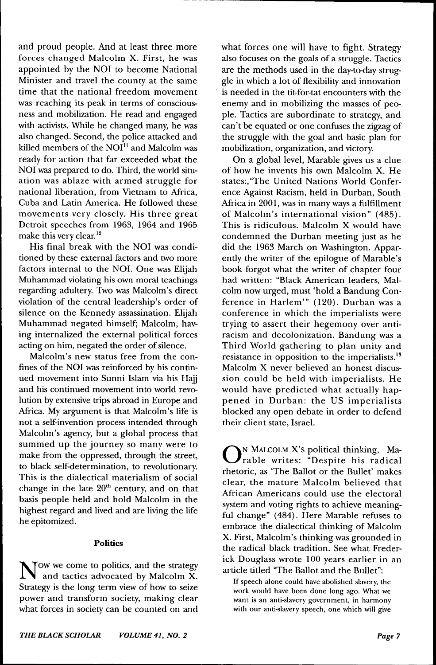and proud people. And at least three more forces changed Malcolm X. First, he was appointed by the NOI to become National Minister and travel the county at the same time that the national freedom movement was reaching its peak in terms of consciousness and mobilization. He read and engaged with activists. While he changed many, he was also changed. Second, the police attacked and killed members of the NOI<sup>11</sup> and Malcolm was ready for action that far exceeded what the NOI was prepared to do. Third, the world situation was ablaze with armed struggle for national liberation, from Vietnam to Africa, Cuba and Latin America. He followed these movements very closely. His three great Detroit speeches from 1963, 1964 and 1965 make this very clear. $^{12}$ 

His final break with the NOI was conditioned by these external factors and two more factors internal to the NOI. One was Elijah Muhammad violating his own moral teachings regarding adultery. Two was Malcolm's direct violation of the central leadership's order of silence on the Kennedy assassination. Elijah Muhammad negated himself; Malcolm, having internalized the external political forces acting on him, negated the order of silence.

Malcolm's new status free from the confines of the NOI was reinforced by his continued movement into Sunni Islam via his Hajj and his continued movement into world revolution by extensive trips abroad in Europe and Africa. My argument is that Malcolm's life is not a self-invention process intended through Malcolm's agency, but a global process that summed up the journey so many were to make from the oppressed, through the street, to black self-determination, to revolutionary. This is the dialectical materialism of social change in the late  $20<sup>th</sup>$  century, and on that basis people held and hold Malcolm in the highest regard and lived and are living the life he epitomized.

#### **Politics**

Now we come to politics, and the strategy<br>and tactics advocated by Malcolm X. and tactics advocated by Malcolm X. Strategy is the long term view of how to seize power and transform society, making clear what forces in society can be counted on and

what forces one will have to fight. Strategy also focuses on the goals of a struggle. Tactics are the methods used in the day-to-day struggle in which a lot of flexibility and innovation is needed in the tit-for-tat encounters with the enemy and in mobilizing the masses of people. Tactics are subordinate to strategy, and can't be equated or one confuses the zigzag of the struggle with the goal and basic plan for mobilization, organization, and victory.

On a global level, Marable gives us a clue of how he invents his own Malcolm X. He states:,"The United Nations World Conference Against Racism, held in Durban, South Africa in 2001, was in many ways a fulfillment of Malcolm's international vision" (485). This is ridiculous. Malcolm X would have condemned the Durban meeting just as he did the 1963 March on Washington. Apparently the writer of the epilogue of Marable's book forgot what the writer of chapter four had written: "Black American leaders, Malcolm now urged, must 'hold a Bandung Conference in Harlem'" (120). Durban was a conference in which the imperialists were trying to assert their hegemony over antiracism and decolonization. Bandung was a Third World gathering to plan unity and resistance in opposition to the imperialists.<sup>13</sup> Malcolm X never believed an honest discussion could be held with imperialists. He would have predicted what actually happened in Durban: the US imperialists blocked any open debate in order to defend their client state, Israel.

ON MALCOLM X's political thinking, Ma-<br>rable writes: "Despite his radical<br>rhetoric, as 'The Ballot or the Bullet' makes N MALCOLM X'S political thinking, Marable writes: "Despite his radical clear, the mature Malcolm believed that African Americans could use the electoral system and voting rights to achieve meaningful change" (484). Here Marable refuses to embrace the dialectical thinking of Malcolm X. First, Malcolm's thinking was grounded in the radical black tradition. See what Frederick Douglass wrote 100 years earlier in an article tided 'The Ballot and the Bullet":

If speech alone could have abolished slavery, the work would have been done long ago. What we want is an anti-slavery government, in harmony with our anti-slavery speech, one which will give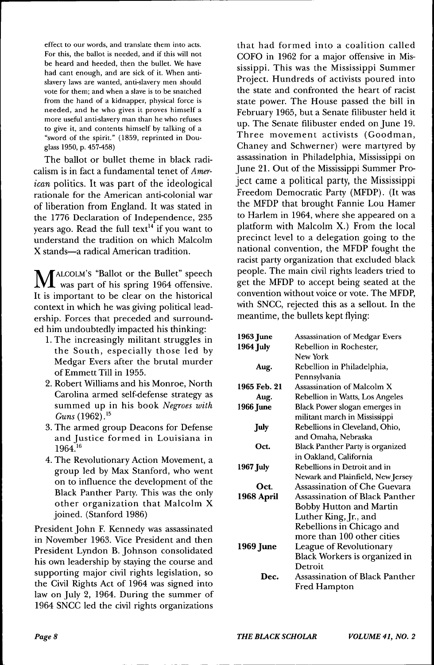effect to our words, and translate them into acts. For this, the ballot is needed, and if this will not be heard and heeded, then the bullet. We have had cant enough, and are sick of it. When antislavery laws are wanted, anti-slavery men should vote for them; and when a slave is to be snatched from the hand of a kidnapper, physical force is needed, and he who gives it proves himself a more useful anti-slavery man than he who refuses to give it, and contents himself by talking of a "sword of the spirit." (1859, reprinted in Douglass 1950, p. 457-458)

The ballot or bullet theme in black radicalism is in fact a fundamental tenet of *American* politics. It was part of the ideological rationale for the American anti-colonial war of liberation from England. It was stated in the 1776 Declaration of Independence, 235 years ago. Read the full text<sup>14</sup> if you want to understand the tradition on which Malcolm X stands—a radical American tradition.

MALCOLM'S "Ballot or the Bullet" speech<br>was part of his spring 1964 offensive. It is important to be clear on the historical context in which he was giving political leadership. Forces that preceded and surrounded him undoubtedly impacted his thinking:

- l.The increasingly militant struggles in the South, especially those led by Medgar Evers after the brutal murder of Emmett Till in 1955.
- 2. Robert Williams and his Monroe, North Carolina armed self-defense strategy as summed up in his book *Negroes with Guns* (1962).<sup>15</sup>
- 3. The armed group Deacons for Defense and Justice formed in Louisiana in 1964<sup>16</sup>
- 4. The Revolutionary Action Movement, a group led by Max Stanford, who went on to influence the development of the Black Panther Party. This was the only other organization that Malcolm X joined. (Stanford 1986)

President John F. Kennedy was assassinated in November 1963. Vice President and then President Lyndon B. Johnson consolidated his own leadership by staying the course and supporting major civil rights legislation, so the Civil Rights Act of 1964 was signed into law on July 2, 1964. During the summer of 1964 SNCC led the civil rights organizations

that had formed into a coalition called COFO in 1962 for a major offensive in Mississippi. This was the Mississippi Summer Project. Hundreds of activists poured into the state and confronted the heart of racist state power. The House passed the bill in February 1965, but a Senate filibuster held it up. The Senate filibuster ended on June 19. Three movement activists (Goodman, Chaney and Schwerner) were martyred by assassination in Philadelphia, Mississippi on June 21. Out of the Mississippi Summer Project came a politicat party, the Mississippi Freedom Democratic Party (MFDP). (It was the MFDP that brought Fannie Lou Hamer to Harlem in 1964, where she appeared on a platform with Malcolm X.) From the local precinct level to a delegation going to the national convention, the MFDP fought the racist party organization that excluded black people. The main civil rights leaders tried to get the MFDP to accept being seated at the convention without voice or vote. The MFDP, with SNCC, rejected this as a sellout. In the meantime, the bullets kept flying:

| 1963 June    | <b>Assassination of Medgar Evers</b> |
|--------------|--------------------------------------|
| 1964 July    | Rebellion in Rochester.              |
|              | New York                             |
| Aug.         | Rebellion in Philadelphia,           |
|              | Pennsylvania                         |
| 1965 Feb. 21 | Assassination of Malcolm X           |
| Aug.         | Rebellion in Watts, Los Angeles      |
| 1966 June    | Black Power slogan emerges in        |
|              | militant march in Mississippi        |
| July         | Rebellions in Cleveland, Ohio,       |
|              | and Omaha. Nebraska                  |
| Oct.         | Black Panther Party is organized     |
|              | in Oakland, California               |
| 1967 July    | Rebellions in Detroit and in         |
|              | Newark and Plainfield, New Jersey    |
| Oct.         | Assassination of Che Guevara         |
| 1968 April   | Assassination of Black Panther       |
|              | <b>Bobby Hutton and Martin</b>       |
|              | Luther King, Jr., and                |
|              | Rebellions in Chicago and            |
|              | more than 100 other cities           |
| 1969 June    | League of Revolutionary              |
|              | Black Workers is organized in        |
|              | Detroit                              |
| Dec.         | Assassination of Black Panther       |
|              | Fred Hampton                         |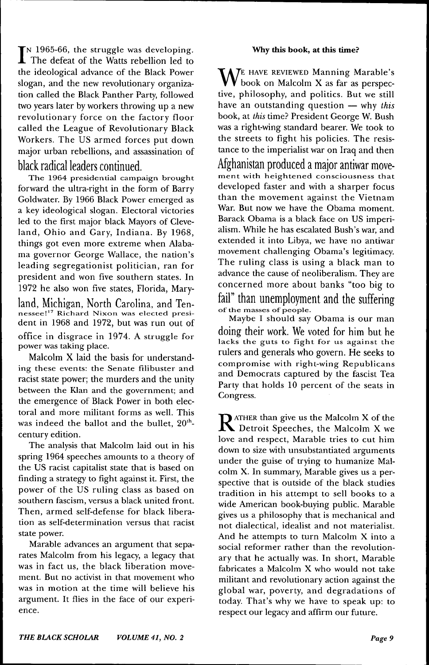IN 1965-66, the struggle was developing.<br>The defeat of the Watts rebellion led to The defeat of the Watts rebellion led to the ideological advance of the Black Power slogan, and the new revolutionary organization called the Black Panther Party, followed two years later by workers throwing up a new revolutionary force on the factory floor called the League of Revolutionary Black Workers. The US armed forces put down major urban rebellions, and assassination of black radical leaders continued.

The 1964 presidential campaign brought forward the ultra-right in the form of Barry Goldwater. By 1966 Black Power emerged as a key ideological slogan. Electoral victories led to the first major black Mayors of Cleveland, Ohio and Gary, Indiana. By 1968, things got even more extreme when Alabama governor George Wallace, the nation's leading segregationist politician, ran for president and won five southern states. In 1972 he also won five states, Florida, Mary-

land, Michigan, North Carolina, and Tennessee!" Richard Nixon was elected president in 1968 and 1972, but was run out of office in disgrace in 1974. A struggle for power was taking place.

Malcolm X laid the basis for understanding these events: the Senate filibuster and racist state power; the murders and the unity between the Klan and the government; and the emergence of Black Power in both electoral and more militant forms as well. This was indeed the ballot and the bullet,  $20<sup>th</sup>$ century edition.

The analysis that Malcolm laid out in his spring 1964 speeches amounts to a theory of the US racist capitalist state that is based on finding a strategy to fight against it. First, the power of the US ruling class as based on southern fascism, versus a black united front. Then, armed self-defense for black liberation as self-determination versus that racist state power.

Marable advances an argument that separates Malcolm from his legacy, a legacy that was in fact us, the black liberation movement. But no activist in that movement who was in motion at the time will believe his argument. It flies in the face of our experience.

#### **Why this book, at this time?**

WE HAVE REVIEWED Manning Marable's<br>book on Malcolm X as far as perspective, philosophy, and politics. But we still have an outstanding question — why *this* book, at *this* time? President George W. Bush was a right-wing standard bearer. We took to the streets to fight his policies. The resistance to the imperialist war on Iraq and then

Afghanistan produced a major antiwar movement with heightened consciousness that developed faster and with a sharper focus than the movement against the Vietnam War. But now we have the Obama moment. Barack Obama is a black face on US imperialism. While he has escalated Bush's war, and extended it into Libya, we have no antiwar movement challenging Obama's legitimacy. The ruling class is using a black man to advance the cause of neoliberalism. They are concerned more about banks "too big to fail" than unemployment and the suffering of the masses of people.

Maybe I should say Obama is our man doing their work. We voted for him but he lacks the guts to fight for us against the rulers and generals who govern. He seeks to compromise with right-wing Republicans and Democrats captured by the fascist Tea Party that holds 10 percent of the seats in Congress.

**R**ATHER than give us the Malcolm X of the Detroit Speeches, the Malcolm X we ATHER than give us the Malcolm X of the love and respect, Marable tries to cut him down to size with unsubstantiated arguments under the guise of trying to humanize Malcolm X. In summary, Marable gives us a perspective that is outside of the black studies tradition in his attempt to sell books to a wide American book-buying public. Marable gives us a philosophy that is mechanical and not dialectical, idealist and not materialist. And he attempts to turn Malcolm X into a social reformer rather than the revolutionary that he actually was. In short, Marable fabricates a Malcolm X who would not take militant and revolutionary action against the global war, poverty, and degradations of today. That's why we have to speak up: to respect our legacy and affirm our future.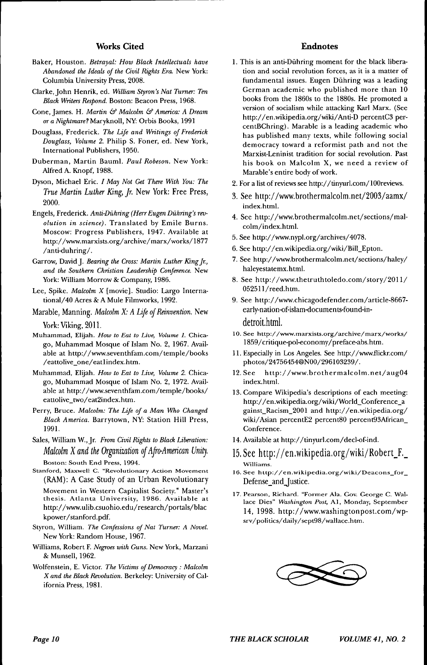#### **Works Cited Endnotes**

- Baker, Houston. *Betrayal: How Black Intellectuals have Abandoned the Ideals of the Civil Rights Era.* New York: Columbia University Press, 2008.
- Clarke, John Henrik, ed. *William Styron's Nat Turner: Ten Black Writers Respond.* Boston: Beacon Press, 1968.
- Cone, James. H. *Martin àf Malcolm àf America: A Dream or a Nightmare? MaryknoU,* NY: Orbis Books, 1991
- Douglass, Frederick. *The Life and Writings of Frederick Douglass, Volume 2.* Philip S. Foner, ed. New York, International Publishers, 1950.
- Duberman, Martin Bauml. *Paul Robeson.* New York: Alfred A. Knopf, 1988.
- Dyson, Michael Eric. / *May Not Get There With You: The True Martin Luther King, Jr.* New York: Free Press, 2000.
- Engels, Frederick. *Anti-Diihring (Herr Eugen Diihring's revolution in science).* Translated by Emile Burns. Moscow: Progress Publishers, 1947. Available at http://www.marxists.org/archive/marx/works/1877 /anti-duhring/.
- Carrow, David J. *Bearing the Cross: Martin Luther King Jr., and the Southern Christian Leadership Conference.* New York: William Morrow & Company, 1986.
- Lee, Spike. *Malcolm X* [movie]. Studio: Largo International/40 Acres & A Mule Filmworks, 1992.
- Marable, Manning. Malcolm X: A Life of Reinvention. New York: Viking, 2011.
- Muhammad, Elijah. How to Eat to Live, Volume 1. Chicago, Muhammad Mosque of Islam No. 2, 1967. Available at http://www.seventhfam.com/temple/books /eattolive\_one/eatlindex.htm.
- Muhammad, Elijah. *How to Eat to Live, Volume 2.* Chicago, Muhammad Mosque of Islam No. 2, 1972. Available at http://www.seventhfam.com/temple/books/ eattolive\_two/eat2index.htm.
- Perry, Bruce. *Malcolm: The Life of a Man Who Changed Black America.* Barrytown, NY: Station Hill Press, 1991.
- Sales, William W., Jr. *From Civil Rights to Black Liberation: Malcolm X and the Organization of Afro-Amencan Unity.* Boston: South End Press. 1994.

Stanford, Maxwell C. "Revolutionary Action Movement (RAM): A Case Study of an Urban Revolutionary Movement in Western Capitalist Society." Master's thesis. Atlanta University, 1986. Available at http://www.ulib.csuohio.edu/research/portals/blac kpower/stanford.pdf.

- Styron, William. *The Confessions of Nat Turner: A Novel.* New York: Random House, 1967.
- Williams, Robert F. *Negroes with Guns.* New York, Marzani & Munsell, 1962.
- Wolfenstein, E. Victor. *The Victims of Democracy : Malcolm X and the Black Revolution.* Berkeley: tJniversity of California Press, 1981.

- 1. This is an anti-Dùhring moment for the black liberation and social revolution forces, as it is a matter of fundamental issues. Eugen Dùhring was a leading German academic who published more than 10 books from the 1860s to the 1880s. He promoted a version of socialism while attacking Karl Marx. (See http://en.wikipedia.org/wiki/Anti-D percentC3 percentBChring). Marable is a leading academic who has published many texts, while following social democracy toward a reformist path and not the Marxist-Leninist tradition for social revolution. Past his book on Malcolm X, we need a review of Marable's entire body of work.
- 2. For a list of reviews see http://tinyurl.com/100reviews.
- 3. See http://www.brothermalcolm.net/2003/aamx/ index.html.
- 4. See http://www.brotbermalcolm.net/sections/malcolm/index.html.
- 5. See http://www.nypl.org/archives/4078.
- 6. See http://en.wikipedia.org/wiki/Bill\_Epton.
- 7. See http://www.brothermalcolm.net/sections/haley/ haleyestatemx.html.
- 8. See http://www.thetruthtoledo.com/story/2011/ 052511/reed.htm.
- 9. See http://www.chicagodefendercom/article-8667 early-nation-of-islam-documents-found-indetroit.html.
- 10. See http://www.marxists.org/archive/marx/works/ 1859/critique-pol-economy/preface-abs.htm.
- 11. Especially in Los Angeles. See http://www.flickr.com/ photos/24756454@N00/296103239/.
- 12. See http://www.brothermalcolm.net/aug04 index.html.
- 13. Compare Wikipedia's descriptions of each meeting: http://en.wikipedia.org/wiki/World\_Conference\_a gainst\_Racism\_2001 and http://en.wikipedia.org/ wiki/Asian percentE2 percent80 percent93African\_ Conference.
- 14. Available at http://tinyurl.com/decl-of-ind.
- 15. See http://en,wikipedia,org/wiki/Robert\_r,\_ Williams.
- 16. See http://en.wikipedia.org/wiki/Deacons\_for\_ Defense\_and\_Justice.
- 17. Pearson, Richard. "Former Ala. Gov. George C. Wallace Dies" *Washington Post,* Al, Monday, September 14, 1998. bttp://www.washingtonpost.com/wpsrv/politics/daily/sept98/wallace.htm.